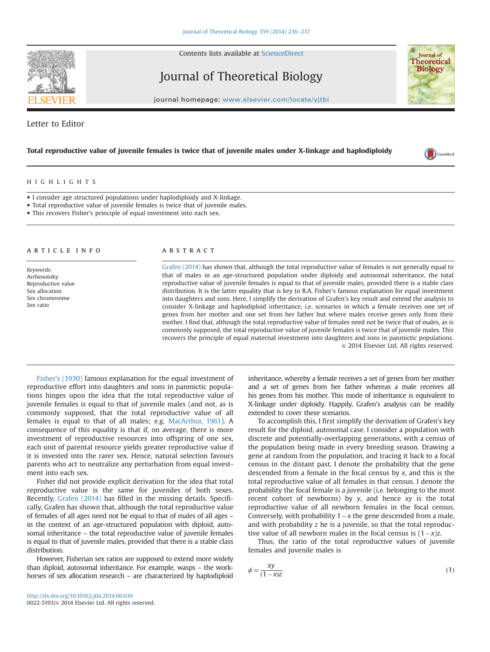Contents lists available at [ScienceDirect](www.sciencedirect.com/science/journal/00225193)

Journal of Theoretical Biology

journal homepage: <www.elsevier.com/locate/yjtbi>

Letter to Editor

# Total reproductive value of juvenile females is twice that of juvenile males under X-linkage and haplodiploidy

### HIGHLIGHTS

- I consider age structured populations under haplodiploidy and X-linkage.
- Total reproductive value of juvenile females is twice that of juvenile males.
- This recovers Fisher's principle of equal investment into each sex.

### article info

Keywords: Arrhenotoky Reproductive value Sex allocation Sex chromosome Sex ratio

## **ABSTRACT**

[Grafen \(2014\)](#page-1-0) has shown that, although the total reproductive value of females is not generally equal to that of males in an age-structured population under diploidy and autosomal inheritance, the total reproductive value of juvenile females is equal to that of juvenile males, provided there is a stable class distribution. It is the latter equality that is key to R.A. Fisher's famous explanation for equal investment into daughters and sons. Here, I simplify the derivation of Grafen's key result and extend the analysis to consider X-linkage and haplodiploid inheritance, i.e. scenarios in which a female receives one set of genes from her mother and one set from her father but where males receive genes only from their mother. I find that, although the total reproductive value of females need not be twice that of males, as is commonly supposed, the total reproductive value of juvenile females is twice that of juvenile males. This recovers the principle of equal maternal investment into daughters and sons in panmictic populations.  $\odot$  2014 Elsevier Ltd. All rights reserved.

[Fisher's \(1930\)](#page-1-0) famous explanation for the equal investment of reproductive effort into daughters and sons in panmictic populations hinges upon the idea that the total reproductive value of juvenile females is equal to that of juvenile males (and not, as is commonly supposed, that the total reproductive value of all females is equal to that of all males; e.g. [MacArthur, 1961](#page-1-0)). A consequence of this equality is that if, on average, there is more investment of reproductive resources into offspring of one sex, each unit of parental resource yields greater reproductive value if it is invested into the rarer sex. Hence, natural selection favours parents who act to neutralize any perturbation from equal investment into each sex.

Fisher did not provide explicit derivation for the idea that total reproductive value is the same for juveniles of both sexes. Recently, [Grafen \(2014\)](#page-1-0) has filled in the missing details. Specifically, Grafen has shown that, although the total reproductive value of females of all ages need not be equal to that of males of all ages – in the context of an age-structured population with diploid, autosomal inheritance – the total reproductive value of juvenile females is equal to that of juvenile males, provided that there is a stable class distribution.

However, Fisherian sex ratios are supposed to extend more widely than diploid, autosomal inheritance. For example, wasps – the workhorses of sex allocation research – are characterized by haplodiploid inheritance, whereby a female receives a set of genes from her mother and a set of genes from her father whereas a male receives all his genes from his mother. This mode of inheritance is equivalent to X-linkage under diploidy. Happily, Grafen's analysis can be readily extended to cover these scenarios.

To accomplish this, I first simplify the derivation of Grafen's key result for the diploid, autosomal case. I consider a population with discrete and potentially-overlapping generations, with a census of the population being made in every breeding season. Drawing a gene at random from the population, and tracing it back to a focal census in the distant past, I denote the probability that the gene descended from a female in the focal census by  $x$ , and this is the total reproductive value of all females in that census. I denote the probability the focal female is a juvenile (i.e. belonging to the most recent cohort of newborns) by  $y$ , and hence  $xy$  is the total reproductive value of all newborn females in the focal census. Conversely, with probability  $1-x$  the gene descended from a male, and with probability z he is a juvenile, so that the total reproductive value of all newborn males in the focal census is  $(1-x)z$ .

Thus, the ratio of the total reproductive values of juvenile females and juvenile males is

$$
\phi = \frac{xy}{(1 - x)z}.\tag{1}
$$

<span id="page-0-0"></span>